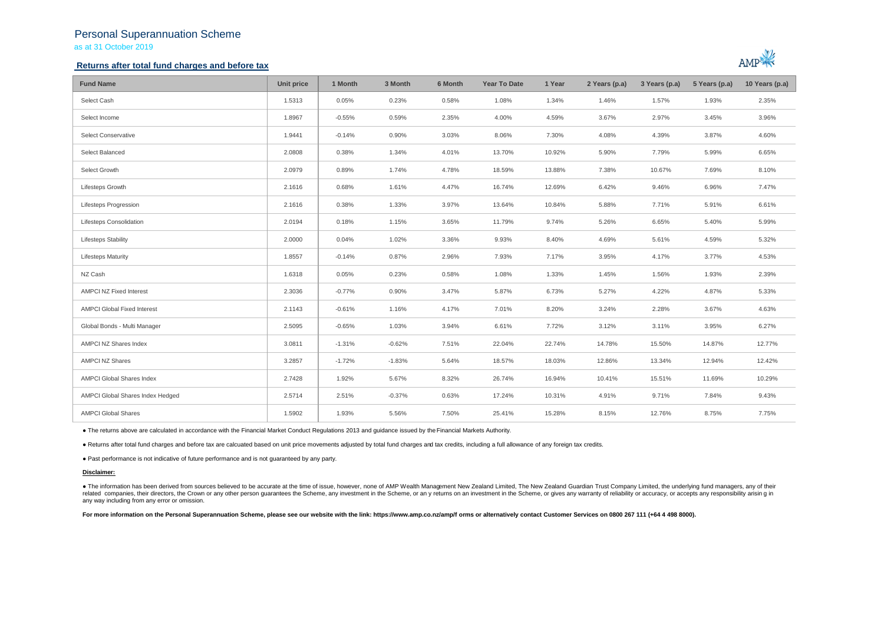## Personal Superannuation Scheme as at 31 October 2019

### **Returns after total fund charges and before tax**



| <b>Fund Name</b>                   | Unit price | 1 Month  | 3 Month  | 6 Month | <b>Year To Date</b> | 1 Year | 2 Years (p.a) | 3 Years (p.a) | 5 Years (p.a) | 10 Years (p.a) |
|------------------------------------|------------|----------|----------|---------|---------------------|--------|---------------|---------------|---------------|----------------|
| Select Cash                        | 1.5313     | 0.05%    | 0.23%    | 0.58%   | 1.08%               | 1.34%  | 1.46%         | 1.57%         | 1.93%         | 2.35%          |
| Select Income                      | 1.8967     | $-0.55%$ | 0.59%    | 2.35%   | 4.00%               | 4.59%  | 3.67%         | 2.97%         | 3.45%         | 3.96%          |
| Select Conservative                | 1.9441     | $-0.14%$ | 0.90%    | 3.03%   | 8.06%               | 7.30%  | 4.08%         | 4.39%         | 3.87%         | 4.60%          |
| Select Balanced                    | 2.0808     | 0.38%    | 1.34%    | 4.01%   | 13.70%              | 10.92% | 5.90%         | 7.79%         | 5.99%         | 6.65%          |
| Select Growth                      | 2.0979     | 0.89%    | 1.74%    | 4.78%   | 18.59%              | 13.88% | 7.38%         | 10.67%        | 7.69%         | 8.10%          |
| Lifesteps Growth                   | 2.1616     | 0.68%    | 1.61%    | 4.47%   | 16.74%              | 12.69% | 6.42%         | 9.46%         | 6.96%         | 7.47%          |
| <b>Lifesteps Progression</b>       | 2.1616     | 0.38%    | 1.33%    | 3.97%   | 13.64%              | 10.84% | 5.88%         | 7.71%         | 5.91%         | 6.61%          |
| Lifesteps Consolidation            | 2.0194     | 0.18%    | 1.15%    | 3.65%   | 11.79%              | 9.74%  | 5.26%         | 6.65%         | 5.40%         | 5.99%          |
| <b>Lifesteps Stability</b>         | 2.0000     | 0.04%    | 1.02%    | 3.36%   | 9.93%               | 8.40%  | 4.69%         | 5.61%         | 4.59%         | 5.32%          |
| <b>Lifesteps Maturity</b>          | 1.8557     | $-0.14%$ | 0.87%    | 2.96%   | 7.93%               | 7.17%  | 3.95%         | 4.17%         | 3.77%         | 4.53%          |
| NZ Cash                            | 1.6318     | 0.05%    | 0.23%    | 0.58%   | 1.08%               | 1.33%  | 1.45%         | 1.56%         | 1.93%         | 2.39%          |
| <b>AMPCI NZ Fixed Interest</b>     | 2.3036     | $-0.77%$ | 0.90%    | 3.47%   | 5.87%               | 6.73%  | 5.27%         | 4.22%         | 4.87%         | 5.33%          |
| <b>AMPCI Global Fixed Interest</b> | 2.1143     | $-0.61%$ | 1.16%    | 4.17%   | 7.01%               | 8.20%  | 3.24%         | 2.28%         | 3.67%         | 4.63%          |
| Global Bonds - Multi Manager       | 2.5095     | $-0.65%$ | 1.03%    | 3.94%   | 6.61%               | 7.72%  | 3.12%         | 3.11%         | 3.95%         | 6.27%          |
| AMPCI NZ Shares Index              | 3.0811     | $-1.31%$ | $-0.62%$ | 7.51%   | 22.04%              | 22.74% | 14.78%        | 15.50%        | 14.87%        | 12.77%         |
| <b>AMPCI NZ Shares</b>             | 3.2857     | $-1.72%$ | $-1.83%$ | 5.64%   | 18.57%              | 18.03% | 12.86%        | 13.34%        | 12.94%        | 12.42%         |
| AMPCI Global Shares Index          | 2.7428     | 1.92%    | 5.67%    | 8.32%   | 26.74%              | 16.94% | 10.41%        | 15.51%        | 11.69%        | 10.29%         |
| AMPCI Global Shares Index Hedged   | 2.5714     | 2.51%    | $-0.37%$ | 0.63%   | 17.24%              | 10.31% | 4.91%         | 9.71%         | 7.84%         | 9.43%          |
| <b>AMPCI Global Shares</b>         | 1.5902     | 1.93%    | 5.56%    | 7.50%   | 25.41%              | 15.28% | 8.15%         | 12.76%        | 8.75%         | 7.75%          |

● The returns above are calculated in accordance with the Financial Market Conduct Regulations 2013 and guidance issued by the Financial Markets Authority.

● Returns after total fund charges and before tax are calcuated based on unit price movements adjusted by total fund charges and tax credits, including a full allowance of any foreign tax credits.

● Past performance is not indicative of future performance and is not guaranteed by any party.

#### **Disclaimer:**

. The information has been derived from sources believed to be accurate at the time of issue, however, none of AMP Wealth Management New Zealand Limited, The New Zealand Guardian Trust Company Limited, the underlying fund related companies, their directors, the Crown or any other person quarantees the Scheme, any investment in the Scheme, or any returns on an investment in the Scheme, or gives any warranty of reliability or accuracy, or acc any way including from any error or omission.

For more information on the Personal Superannuation Scheme, please see our website with the link: https://www.amp.co.nz/amp/f orms or alternatively contact Customer Services on 0800 267 111 (+64 4 498 8000).